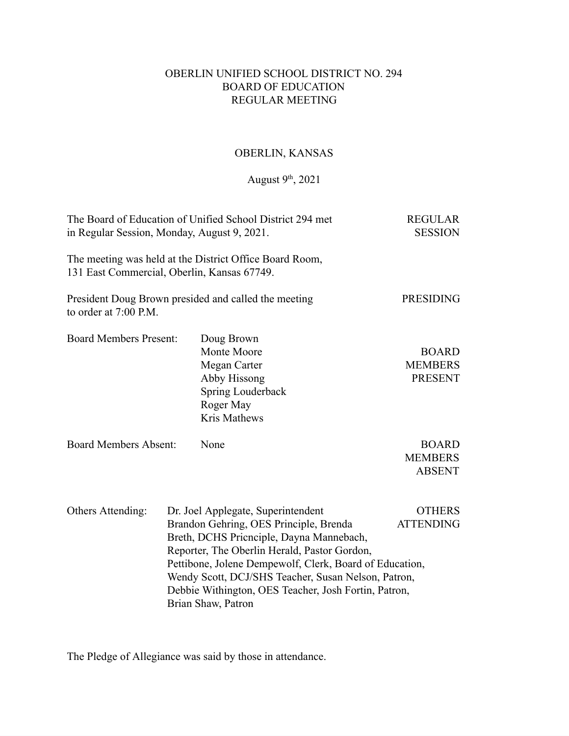# OBERLIN UNIFIED SCHOOL DISTRICT NO. 294 BOARD OF EDUCATION REGULAR MEETING

# OBERLIN, KANSAS

## August  $9<sup>th</sup>$ , 2021

| The Board of Education of Unified School District 294 met<br>in Regular Session, Monday, August 9, 2021. | <b>REGULAR</b><br><b>SESSION</b> |                                                                                                                                                                                                                                                                                                                                                                          |                                                  |
|----------------------------------------------------------------------------------------------------------|----------------------------------|--------------------------------------------------------------------------------------------------------------------------------------------------------------------------------------------------------------------------------------------------------------------------------------------------------------------------------------------------------------------------|--------------------------------------------------|
| 131 East Commercial, Oberlin, Kansas 67749.                                                              |                                  | The meeting was held at the District Office Board Room,                                                                                                                                                                                                                                                                                                                  |                                                  |
| to order at 7:00 P.M.                                                                                    |                                  | President Doug Brown presided and called the meeting                                                                                                                                                                                                                                                                                                                     | <b>PRESIDING</b>                                 |
| <b>Board Members Present:</b>                                                                            |                                  | Doug Brown<br>Monte Moore<br>Megan Carter<br>Abby Hissong<br>Spring Louderback<br>Roger May<br><b>Kris Mathews</b>                                                                                                                                                                                                                                                       | <b>BOARD</b><br><b>MEMBERS</b><br><b>PRESENT</b> |
| <b>Board Members Absent:</b>                                                                             |                                  | None                                                                                                                                                                                                                                                                                                                                                                     | <b>BOARD</b><br><b>MEMBERS</b><br><b>ABSENT</b>  |
| Others Attending:                                                                                        |                                  | Dr. Joel Applegate, Superintendent<br>Brandon Gehring, OES Principle, Brenda<br>Breth, DCHS Pricnciple, Dayna Mannebach,<br>Reporter, The Oberlin Herald, Pastor Gordon,<br>Pettibone, Jolene Dempewolf, Clerk, Board of Education,<br>Wendy Scott, DCJ/SHS Teacher, Susan Nelson, Patron,<br>Debbie Withington, OES Teacher, Josh Fortin, Patron,<br>Brian Shaw, Patron | <b>OTHERS</b><br><b>ATTENDING</b>                |

The Pledge of Allegiance was said by those in attendance.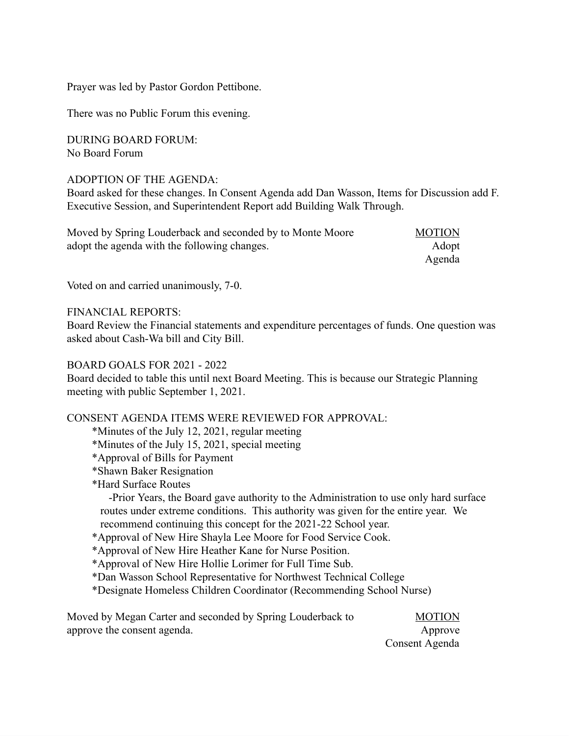Prayer was led by Pastor Gordon Pettibone.

There was no Public Forum this evening.

DURING BOARD FORUM: No Board Forum

## ADOPTION OF THE AGENDA:

Board asked for these changes. In Consent Agenda add Dan Wasson, Items for Discussion add F. Executive Session, and Superintendent Report add Building Walk Through.

| Moved by Spring Louderback and seconded by to Monte Moore | <b>MOTION</b> |
|-----------------------------------------------------------|---------------|
| adopt the agenda with the following changes.              | Adopt         |
|                                                           | Agenda        |

Voted on and carried unanimously, 7-0.

FINANCIAL REPORTS:

Board Review the Financial statements and expenditure percentages of funds. One question was asked about Cash-Wa bill and City Bill.

### BOARD GOALS FOR 2021 - 2022

Board decided to table this until next Board Meeting. This is because our Strategic Planning meeting with public September 1, 2021.

#### CONSENT AGENDA ITEMS WERE REVIEWED FOR APPROVAL:

\*Minutes of the July 12, 2021, regular meeting

\*Minutes of the July 15, 2021, special meeting

\*Approval of Bills for Payment

\*Shawn Baker Resignation

\*Hard Surface Routes

-Prior Years, the Board gave authority to the Administration to use only hard surface routes under extreme conditions. This authority was given for the entire year. We recommend continuing this concept for the 2021-22 School year.

\*Approval of New Hire Shayla Lee Moore for Food Service Cook.

\*Approval of New Hire Heather Kane for Nurse Position.

\*Approval of New Hire Hollie Lorimer for Full Time Sub.

\*Dan Wasson School Representative for Northwest Technical College

\*Designate Homeless Children Coordinator (Recommending School Nurse)

| Moved by Megan Carter and seconded by Spring Louderback to | <b>MOTION</b> |
|------------------------------------------------------------|---------------|
| approve the consent agenda.                                | Approve       |

Consent Agenda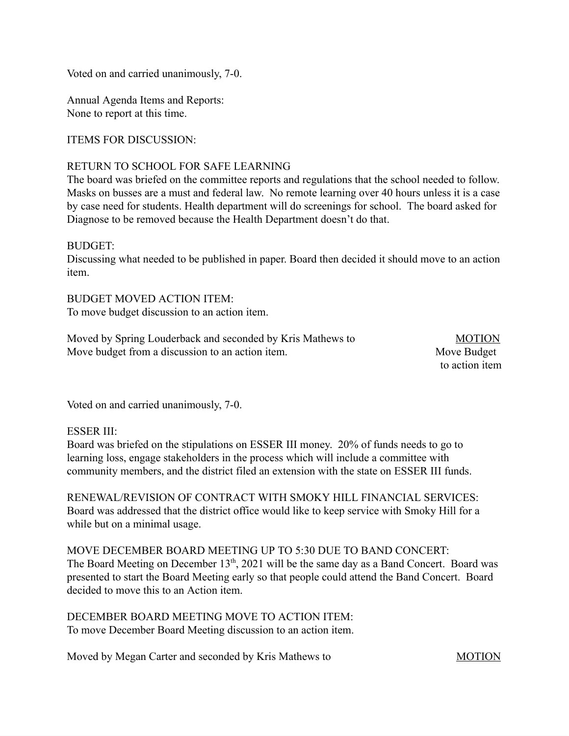Voted on and carried unanimously, 7-0.

Annual Agenda Items and Reports: None to report at this time.

ITEMS FOR DISCUSSION:

## RETURN TO SCHOOL FOR SAFE LEARNING

The board was briefed on the committee reports and regulations that the school needed to follow. Masks on busses are a must and federal law. No remote learning over 40 hours unless it is a case by case need for students. Health department will do screenings for school. The board asked for Diagnose to be removed because the Health Department doesn't do that.

## BUDGET:

Discussing what needed to be published in paper. Board then decided it should move to an action item.

BUDGET MOVED ACTION ITEM: To move budget discussion to an action item.

| Moved by Spring Louderback and seconded by Kris Mathews to | <b>MOTION</b>  |
|------------------------------------------------------------|----------------|
| Move budget from a discussion to an action item.           | Move Budget    |
|                                                            | to action item |

Voted on and carried unanimously, 7-0.

## ESSER III:

Board was briefed on the stipulations on ESSER III money. 20% of funds needs to go to learning loss, engage stakeholders in the process which will include a committee with community members, and the district filed an extension with the state on ESSER III funds.

RENEWAL/REVISION OF CONTRACT WITH SMOKY HILL FINANCIAL SERVICES: Board was addressed that the district office would like to keep service with Smoky Hill for a while but on a minimal usage.

MOVE DECEMBER BOARD MEETING UP TO 5:30 DUE TO BAND CONCERT: The Board Meeting on December 13<sup>th</sup>, 2021 will be the same day as a Band Concert. Board was presented to start the Board Meeting early so that people could attend the Band Concert. Board decided to move this to an Action item.

DECEMBER BOARD MEETING MOVE TO ACTION ITEM: To move December Board Meeting discussion to an action item.

Moved by Megan Carter and seconded by Kris Mathews to MOTION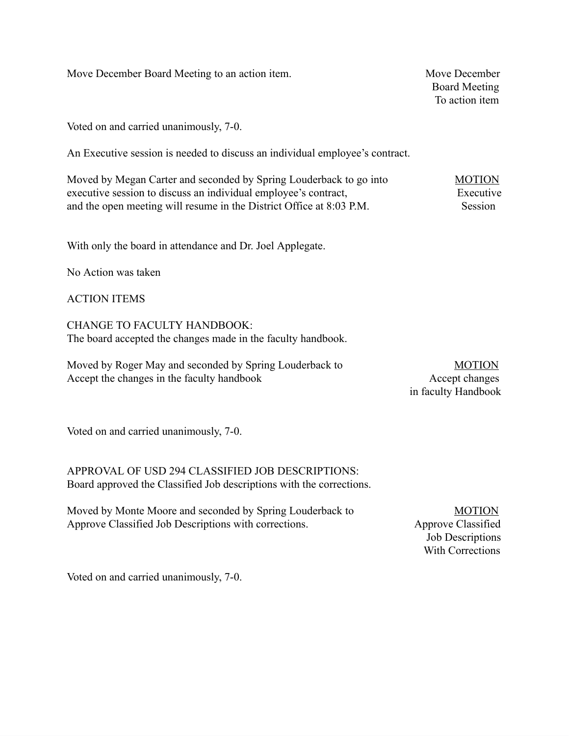Move December Board Meeting to an action item. Move December

Voted on and carried unanimously, 7-0.

An Executive session is needed to discuss an individual employee's contract.

| Moved by Megan Carter and seconded by Spring Louderback to go into   | <b>MOTION</b> |
|----------------------------------------------------------------------|---------------|
| executive session to discuss an individual employee's contract,      | Executive     |
| and the open meeting will resume in the District Office at 8:03 P.M. | Session       |

With only the board in attendance and Dr. Joel Applegate.

No Action was taken

ACTION ITEMS

CHANGE TO FACULTY HANDBOOK: The board accepted the changes made in the faculty handbook.

Moved by Roger May and seconded by Spring Louderback to MOTION Accept the changes in the faculty handbook Accept changes

in faculty Handbook

Voted on and carried unanimously, 7-0.

APPROVAL OF USD 294 CLASSIFIED JOB DESCRIPTIONS: Board approved the Classified Job descriptions with the corrections.

Moved by Monte Moore and seconded by Spring Louderback to MOTION Approve Classified Job Descriptions with corrections. Approve Classified

Job Descriptions With Corrections

Voted on and carried unanimously, 7-0.

 Board Meeting To action item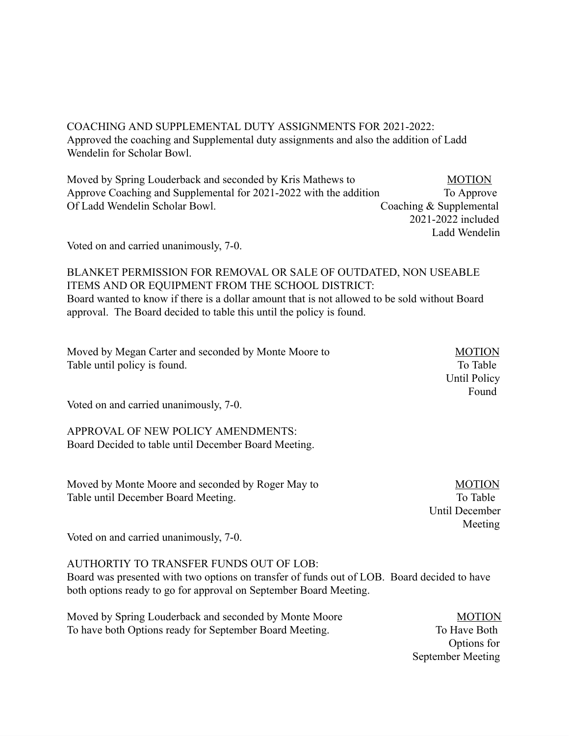COACHING AND SUPPLEMENTAL DUTY ASSIGNMENTS FOR 2021-2022: Approved the coaching and Supplemental duty assignments and also the addition of Ladd Wendelin for Scholar Bowl.

Moved by Spring Louderback and seconded by Kris Mathews to MOTION Approve Coaching and Supplemental for 2021-2022 with the addition To Approve Of Ladd Wendelin Scholar Bowl. Coaching & Supplemental 2021-2022 included

Voted on and carried unanimously, 7-0.

BLANKET PERMISSION FOR REMOVAL OR SALE OF OUTDATED, NON USEABLE ITEMS AND OR EQUIPMENT FROM THE SCHOOL DISTRICT: Board wanted to know if there is a dollar amount that is not allowed to be sold without Board approval. The Board decided to table this until the policy is found.

Found **Frame** 

Moved by Megan Carter and seconded by Monte Moore to MOTION Table until policy is found. To Table

Voted on and carried unanimously, 7-0.

APPROVAL OF NEW POLICY AMENDMENTS: Board Decided to table until December Board Meeting.

Moved by Monte Moore and seconded by Roger May to MOTION Table until December Board Meeting. To Table To Table

 Until December Meeting meeting and the state of the Meeting meeting and the state of the state of the state of the state of the state of the state of the state of the state of the state of the state of the state of the state of the state

Until Policy

Ladd Wendelin

Voted on and carried unanimously, 7-0.

## AUTHORTIY TO TRANSFER FUNDS OUT OF LOB:

Board was presented with two options on transfer of funds out of LOB. Board decided to have both options ready to go for approval on September Board Meeting.

Moved by Spring Louderback and seconded by Monte Moore MOTION To have both Options ready for September Board Meeting. To Have Both

 Options for September Meeting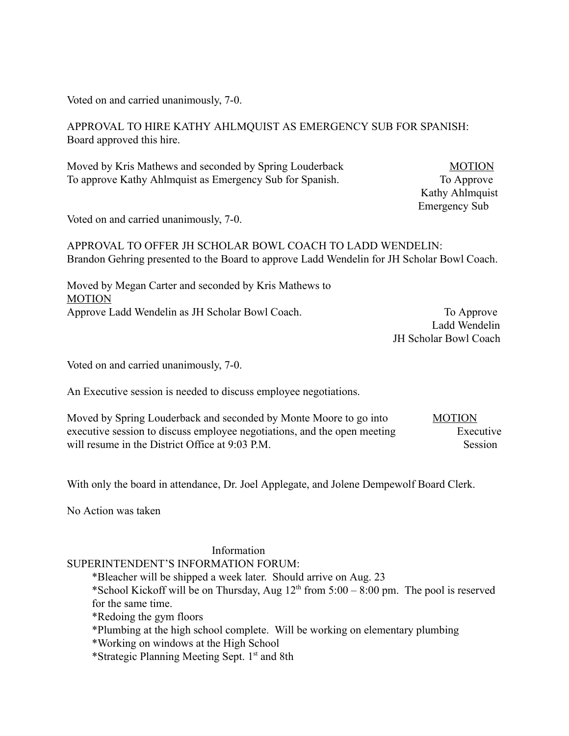Voted on and carried unanimously, 7-0.

APPROVAL TO HIRE KATHY AHLMQUIST AS EMERGENCY SUB FOR SPANISH: Board approved this hire.

Moved by Kris Mathews and seconded by Spring Louderback MOTION To approve Kathy Ahlmquist as Emergency Sub for Spanish. To Approve

 Kathy Ahlmquist Emergency Sub

Voted on and carried unanimously, 7-0.

APPROVAL TO OFFER JH SCHOLAR BOWL COACH TO LADD WENDELIN: Brandon Gehring presented to the Board to approve Ladd Wendelin for JH Scholar Bowl Coach.

Moved by Megan Carter and seconded by Kris Mathews to MOTION Approve Ladd Wendelin as JH Scholar Bowl Coach. To Approve

 Ladd Wendelin JH Scholar Bowl Coach

Voted on and carried unanimously, 7-0.

An Executive session is needed to discuss employee negotiations.

Moved by Spring Louderback and seconded by Monte Moore to go into MOTION executive session to discuss employee negotiations, and the open meeting Executive will resume in the District Office at 9:03 P.M. Session

With only the board in attendance, Dr. Joel Applegate, and Jolene Dempewolf Board Clerk.

No Action was taken

## Information

#### SUPERINTENDENT'S INFORMATION FORUM:

\*Bleacher will be shipped a week later. Should arrive on Aug. 23

\*School Kickoff will be on Thursday, Aug  $12<sup>th</sup>$  from  $5:00 - 8:00$  pm. The pool is reserved for the same time.

\*Redoing the gym floors

\*Plumbing at the high school complete. Will be working on elementary plumbing

\*Working on windows at the High School

\*Strategic Planning Meeting Sept. 1 st and 8th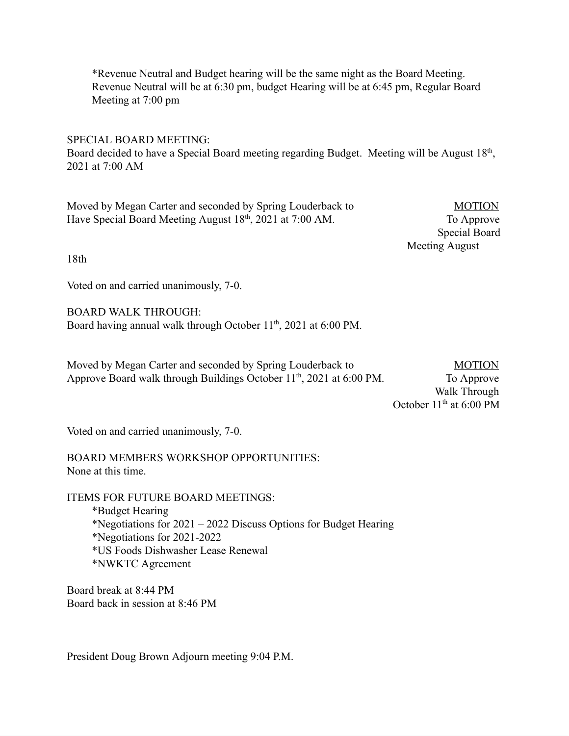\*Revenue Neutral and Budget hearing will be the same night as the Board Meeting. Revenue Neutral will be at 6:30 pm, budget Hearing will be at 6:45 pm, Regular Board Meeting at 7:00 pm

SPECIAL BOARD MEETING:

Board decided to have a Special Board meeting regarding Budget. Meeting will be August 18th, 2021 at 7:00 AM

Moved by Megan Carter and seconded by Spring Louderback to MOTION Have Special Board Meeting August 18<sup>th</sup>, 2021 at 7:00 AM. To Approve

 Special Board Meeting August

18th

Voted on and carried unanimously, 7-0.

BOARD WALK THROUGH: Board having annual walk through October 11<sup>th</sup>, 2021 at 6:00 PM.

Moved by Megan Carter and seconded by Spring Louderback to MOTION Approve Board walk through Buildings October  $11<sup>th</sup>$ , 2021 at 6:00 PM. To Approve

 Walk Through October  $11<sup>th</sup>$  at 6:00 PM

Voted on and carried unanimously, 7-0.

BOARD MEMBERS WORKSHOP OPPORTUNITIES: None at this time.

ITEMS FOR FUTURE BOARD MEETINGS: \*Budget Hearing \*Negotiations for 2021 – 2022 Discuss Options for Budget Hearing \*Negotiations for 2021-2022 \*US Foods Dishwasher Lease Renewal \*NWKTC Agreement

Board break at 8:44 PM Board back in session at 8:46 PM

President Doug Brown Adjourn meeting 9:04 P.M.